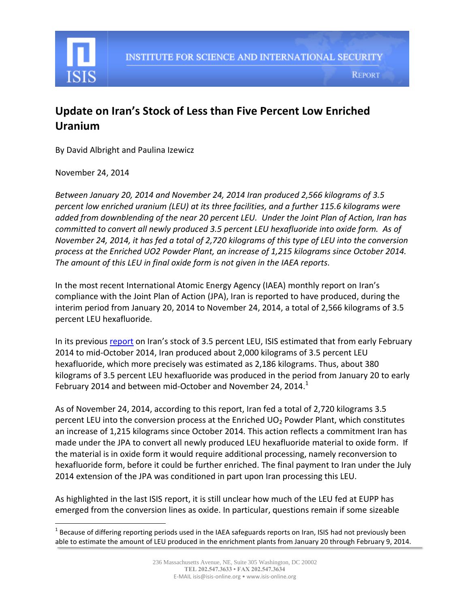

## **Update on Iran's Stock of Less than Five Percent Low Enriched Uranium**

By David Albright and Paulina Izewicz

November 24, 2014

 $\overline{\phantom{a}}$ 

*Between January 20, 2014 and November 24, 2014 Iran produced 2,566 kilograms of 3.5 percent low enriched uranium (LEU) at its three facilities, and a further 115.6 kilograms were added from downblending of the near 20 percent LEU. Under the Joint Plan of Action, Iran has committed to convert all newly produced 3.5 percent LEU hexafluoride into oxide form. As of November 24, 2014, it has fed a total of 2,720 kilograms of this type of LEU into the conversion process at the Enriched UO2 Powder Plant, an increase of 1,215 kilograms since October 2014. The amount of this LEU in final oxide form is not given in the IAEA reports.*

In the most recent International Atomic Energy Agency (IAEA) monthly report on Iran's compliance with the Joint Plan of Action (JPA), Iran is reported to have produced, during the interim period from January 20, 2014 to November 24, 2014, a total of 2,566 kilograms of 3.5 percent LEU hexafluoride.

In its previous [report](http://isis-online.org/isis-reports/detail/evaluating-irans-stock-of-less-than-five-percent-low-enriched-uranium/8) on Iran's stock of 3.5 percent LEU, ISIS estimated that from early February 2014 to mid-October 2014, Iran produced about 2,000 kilograms of 3.5 percent LEU hexafluoride, which more precisely was estimated as 2,186 kilograms. Thus, about 380 kilograms of 3.5 percent LEU hexafluoride was produced in the period from January 20 to early February 2014 and between mid-October and November 24, 2014. $^1$ 

As of November 24, 2014, according to this report, Iran fed a total of 2,720 kilograms 3.5 percent LEU into the conversion process at the Enriched  $UO<sub>2</sub>$  Powder Plant, which constitutes an increase of 1,215 kilograms since October 2014*.* This action reflects a commitment Iran has made under the JPA to convert all newly produced LEU hexafluoride material to oxide form. If the material is in oxide form it would require additional processing, namely reconversion to hexafluoride form, before it could be further enriched. The final payment to Iran under the July 2014 extension of the JPA was conditioned in part upon Iran processing this LEU.

As highlighted in the last ISIS report, it is still unclear how much of the LEU fed at EUPP has emerged from the conversion lines as oxide. In particular, questions remain if some sizeable

 $^1$  Because of differing reporting periods used in the IAEA safeguards reports on Iran, ISIS had not previously been able to estimate the amount of LEU produced in the enrichment plants from January 20 through February 9, 2014.